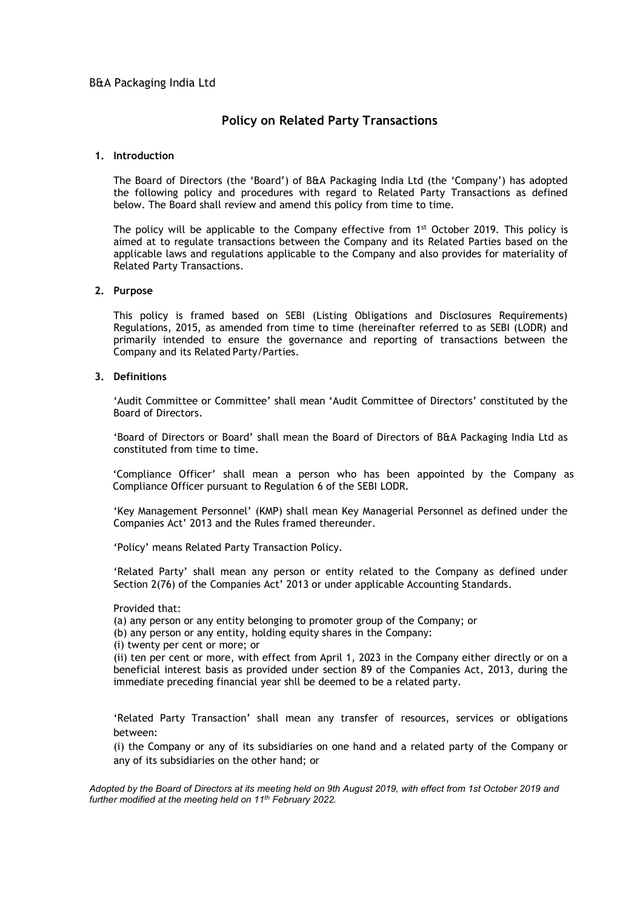# Policy on Related Party Transactions

# 1. Introduction

The Board of Directors (the 'Board') of B&A Packaging India Ltd (the 'Company') has adopted the following policy and procedures with regard to Related Party Transactions as defined below. The Board shall review and amend this policy from time to time.

The policy will be applicable to the Company effective from 1<sup>st</sup> October 2019. This policy is aimed at to regulate transactions between the Company and its Related Parties based on the applicable laws and regulations applicable to the Company and also provides for materiality of Related Party Transactions.

#### 2. Purpose

This policy is framed based on SEBI (Listing Obligations and Disclosures Requirements) Regulations, 2015, as amended from time to time (hereinafter referred to as SEBI (LODR) and primarily intended to ensure the governance and reporting of transactions between the Company and its Related Party/Parties.

#### 3. Definitions

'Audit Committee or Committee' shall mean 'Audit Committee of Directors' constituted by the Board of Directors.

'Board of Directors or Board' shall mean the Board of Directors of B&A Packaging India Ltd as constituted from time to time.

 'Compliance Officer' shall mean a person who has been appointed by the Company as Compliance Officer pursuant to Regulation 6 of the SEBI LODR.

'Key Management Personnel' (KMP) shall mean Key Managerial Personnel as defined under the Companies Act' 2013 and the Rules framed thereunder.

'Policy' means Related Party Transaction Policy.

'Related Party' shall mean any person or entity related to the Company as defined under Section 2(76) of the Companies Act' 2013 or under applicable Accounting Standards.

#### Provided that:

(a) any person or any entity belonging to promoter group of the Company; or

(b) any person or any entity, holding equity shares in the Company:

(i) twenty per cent or more; or

(ii) ten per cent or more, with effect from April 1, 2023 in the Company either directly or on a beneficial interest basis as provided under section 89 of the Companies Act, 2013, during the immediate preceding financial year shll be deemed to be a related party.

'Related Party Transaction' shall mean any transfer of resources, services or obligations between:

(i) the Company or any of its subsidiaries on one hand and a related party of the Company or any of its subsidiaries on the other hand; or

Adopted by the Board of Directors at its meeting held on 9th August 2019, with effect from 1st October 2019 and further modified at the meeting held on  $11^{th}$  February 2022.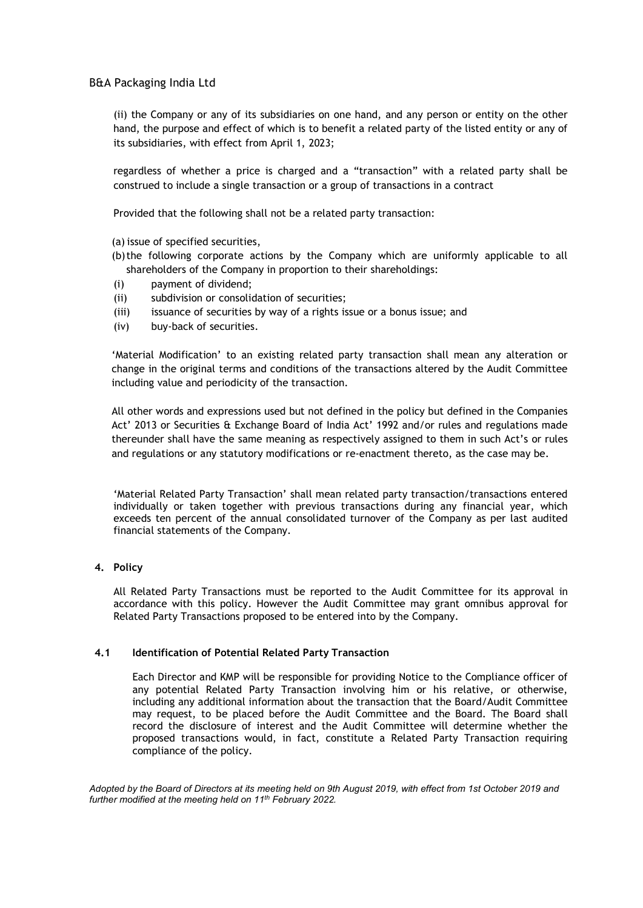(ii) the Company or any of its subsidiaries on one hand, and any person or entity on the other hand, the purpose and effect of which is to benefit a related party of the listed entity or any of its subsidiaries, with effect from April 1, 2023;

regardless of whether a price is charged and a "transaction" with a related party shall be construed to include a single transaction or a group of transactions in a contract

Provided that the following shall not be a related party transaction:

- (a) issue of specified securities,
- (b)the following corporate actions by the Company which are uniformly applicable to all shareholders of the Company in proportion to their shareholdings:
- (i) payment of dividend;
- (ii) subdivision or consolidation of securities;
- (iii) issuance of securities by way of a rights issue or a bonus issue; and
- (iv) buy-back of securities.

'Material Modification' to an existing related party transaction shall mean any alteration or change in the original terms and conditions of the transactions altered by the Audit Committee including value and periodicity of the transaction.

All other words and expressions used but not defined in the policy but defined in the Companies Act' 2013 or Securities & Exchange Board of India Act' 1992 and/or rules and regulations made thereunder shall have the same meaning as respectively assigned to them in such Act's or rules and regulations or any statutory modifications or re-enactment thereto, as the case may be.

'Material Related Party Transaction' shall mean related party transaction/transactions entered individually or taken together with previous transactions during any financial year, which exceeds ten percent of the annual consolidated turnover of the Company as per last audited financial statements of the Company.

#### 4. Policy

All Related Party Transactions must be reported to the Audit Committee for its approval in accordance with this policy. However the Audit Committee may grant omnibus approval for Related Party Transactions proposed to be entered into by the Company.

#### 4.1 Identification of Potential Related Party Transaction

Each Director and KMP will be responsible for providing Notice to the Compliance officer of any potential Related Party Transaction involving him or his relative, or otherwise, including any additional information about the transaction that the Board/Audit Committee may request, to be placed before the Audit Committee and the Board. The Board shall record the disclosure of interest and the Audit Committee will determine whether the proposed transactions would, in fact, constitute a Related Party Transaction requiring compliance of the policy.

Adopted by the Board of Directors at its meeting held on 9th August 2019, with effect from 1st October 2019 and further modified at the meeting held on 11<sup>th</sup> February 2022.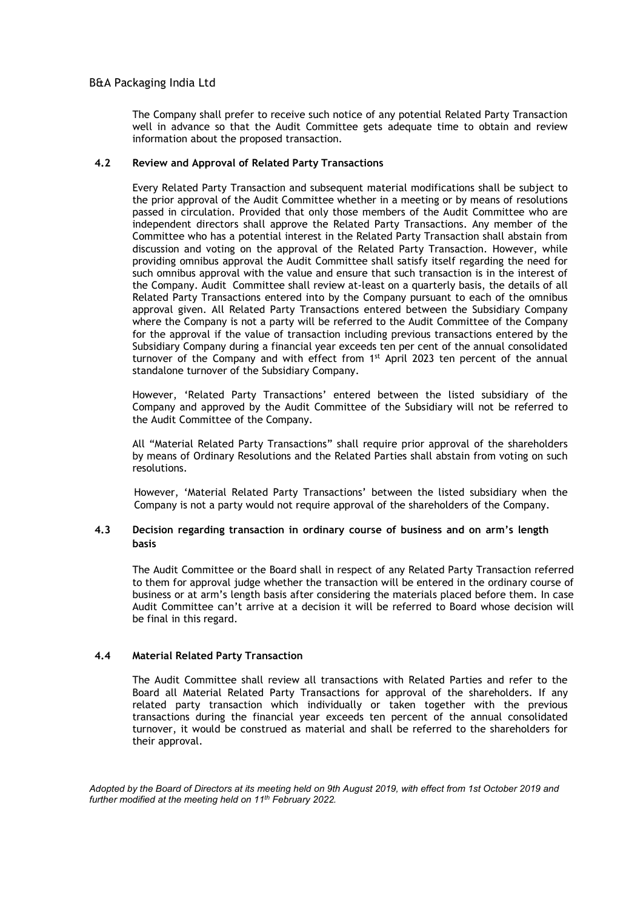The Company shall prefer to receive such notice of any potential Related Party Transaction well in advance so that the Audit Committee gets adequate time to obtain and review information about the proposed transaction.

# 4.2 Review and Approval of Related Party Transactions

Every Related Party Transaction and subsequent material modifications shall be subject to the prior approval of the Audit Committee whether in a meeting or by means of resolutions passed in circulation. Provided that only those members of the Audit Committee who are independent directors shall approve the Related Party Transactions. Any member of the Committee who has a potential interest in the Related Party Transaction shall abstain from discussion and voting on the approval of the Related Party Transaction. However, while providing omnibus approval the Audit Committee shall satisfy itself regarding the need for such omnibus approval with the value and ensure that such transaction is in the interest of the Company. Audit Committee shall review at-least on a quarterly basis, the details of all Related Party Transactions entered into by the Company pursuant to each of the omnibus approval given. All Related Party Transactions entered between the Subsidiary Company where the Company is not a party will be referred to the Audit Committee of the Company for the approval if the value of transaction including previous transactions entered by the Subsidiary Company during a financial year exceeds ten per cent of the annual consolidated turnover of the Company and with effect from  $1<sup>st</sup>$  April 2023 ten percent of the annual standalone turnover of the Subsidiary Company.

However, 'Related Party Transactions' entered between the listed subsidiary of the Company and approved by the Audit Committee of the Subsidiary will not be referred to the Audit Committee of the Company.

All "Material Related Party Transactions" shall require prior approval of the shareholders by means of Ordinary Resolutions and the Related Parties shall abstain from voting on such resolutions.

However, 'Material Related Party Transactions' between the listed subsidiary when the Company is not a party would not require approval of the shareholders of the Company.

# 4.3 Decision regarding transaction in ordinary course of business and on arm's length basis

The Audit Committee or the Board shall in respect of any Related Party Transaction referred to them for approval judge whether the transaction will be entered in the ordinary course of business or at arm's length basis after considering the materials placed before them. In case Audit Committee can't arrive at a decision it will be referred to Board whose decision will be final in this regard.

# 4.4 Material Related Party Transaction

The Audit Committee shall review all transactions with Related Parties and refer to the Board all Material Related Party Transactions for approval of the shareholders. If any related party transaction which individually or taken together with the previous transactions during the financial year exceeds ten percent of the annual consolidated turnover, it would be construed as material and shall be referred to the shareholders for their approval.